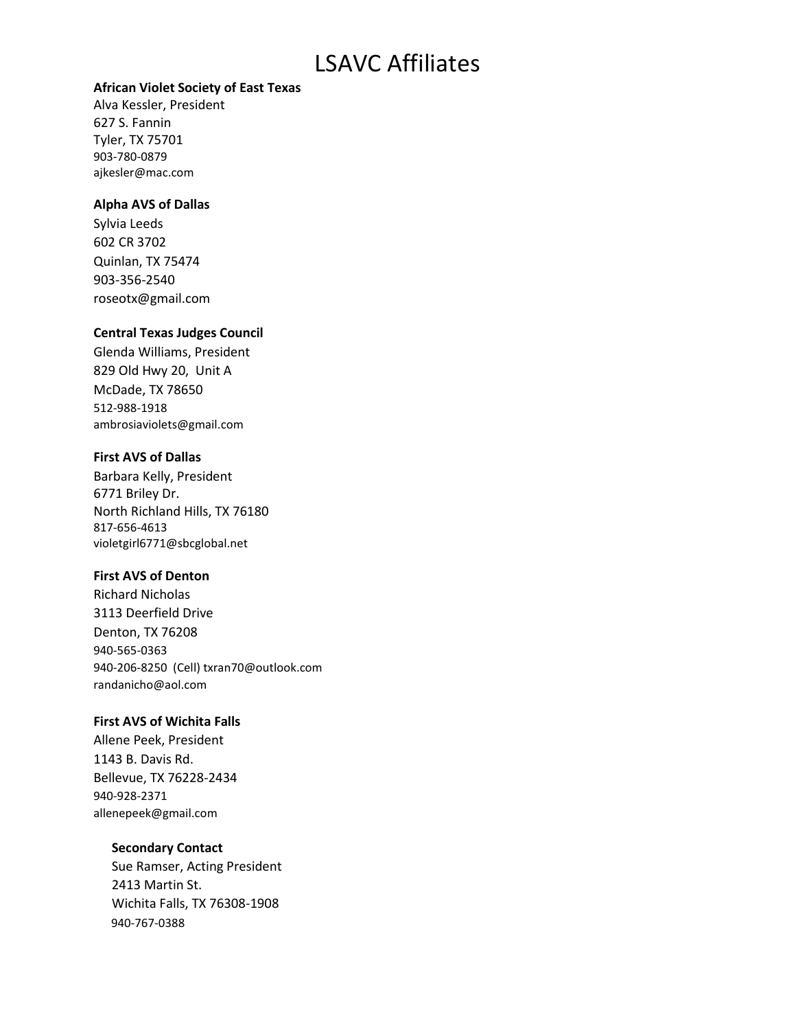# LSAVC Affiliates

#### **African Violet Society of East Texas**

Alva Kessler, President 627 S. Fannin Tyler, TX 75701 903-780-0879 ajkesler@mac.com

#### **Alpha AVS of Dallas**

Sylvia Leeds 602 CR 3702 Quinlan, TX 75474 903-356-2540 roseotx@gmail.com

#### **Central Texas Judges Council**

Glenda Williams, President 829 Old Hwy 20, Unit A McDade, TX 78650 512-988-1918 ambrosiaviolets@gmail.com

#### **First AVS of Dallas**

Barbara Kelly, President 6771 Briley Dr. North Richland Hills, TX 76180 817-656-4613 [violetgirl6771@sbcglobal.net](mailto:violetgirl6771@sbcglobal.net)

#### **First AVS of Denton**

Richard Nicholas 3113 Deerfield Drive Denton, TX 76208 940-565-0363 940-206-8250 (Cell) [txran70@outlook.com](mailto:txran70@outlook.com) [randanicho@aol.com](mailto:randanicho@aol.com)

#### **First AVS of Wichita Falls**

Allene Peek, President 1143 B. Davis Rd. Bellevue, TX 76228-2434 940-928-2371 allenepeek@gmail.com

#### **Secondary Contact**

 Sue Ramser, Acting President 2413 Martin St. Wichita Falls, TX 76308-1908 940-767-0388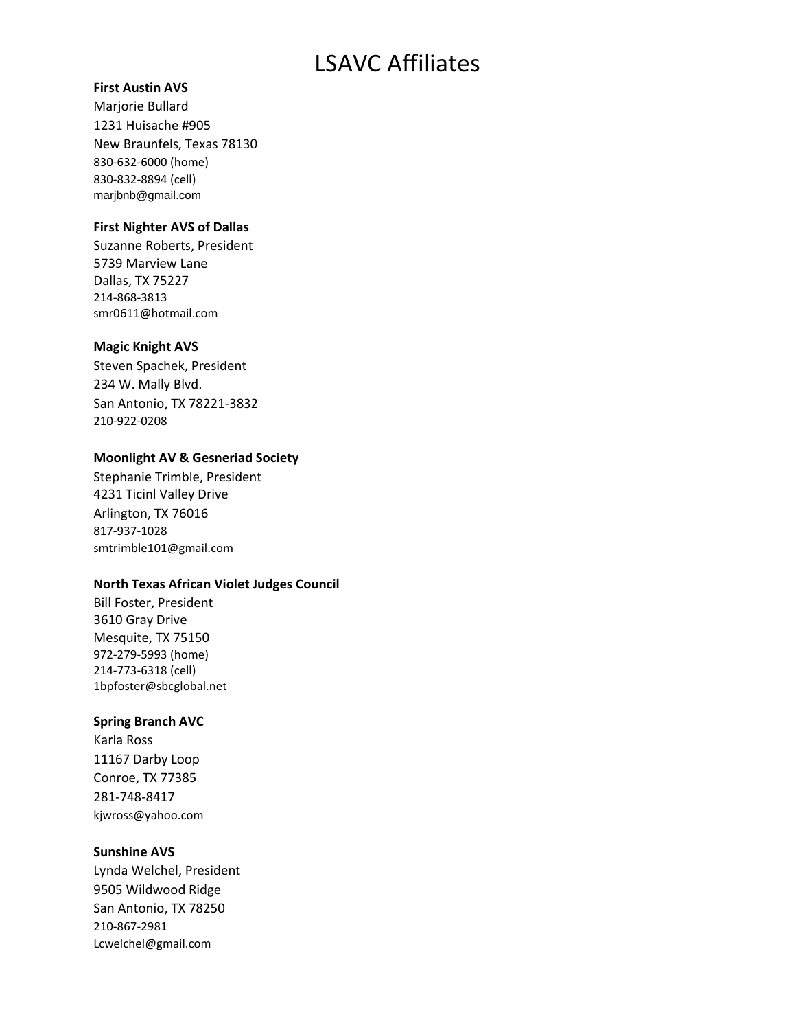# LSAVC Affiliates

#### **First Austin AVS**

Marjorie Bullard 1231 Huisache #905 New Braunfels, Texas 78130 830-632-6000 (home) 830-832-8894 (cell) marjbnb@gmail.com

#### **First Nighter AVS of Dallas**

Suzanne Roberts, President 5739 Marview Lane Dallas, TX 75227 214-868-3813 smr0611@hotmail.com

### **Magic Knight AVS**

Steven Spachek, President 234 W. Mally Blvd. San Antonio, TX 78221-3832 210-922-0208

### **Moonlight AV & Gesneriad Society**

Stephanie Trimble, President 4231 Ticinl Valley Drive Arlington, TX 76016 817-937-1028 smtrimble101@gmail.com

#### **North Texas African Violet Judges Council**

Bill Foster, President 3610 Gray Drive Mesquite, TX 75150 972-279-5993 (home) 214-773-6318 (cell) [1bpfoster@sbcglobal.net](mailto:1bpfoster@sbcglobal.net)

#### **Spring Branch AVC**

Karla Ross 11167 Darby Loop Conroe, TX 77385 281-748-8417 [kjwross@yahoo.com](mailto:kjwross@yahoo.com)

#### **Sunshine AVS**

Lynda Welchel, President 9505 Wildwood Ridge San Antonio, TX 78250 210-867-2981 Lcwelchel@gmail.com